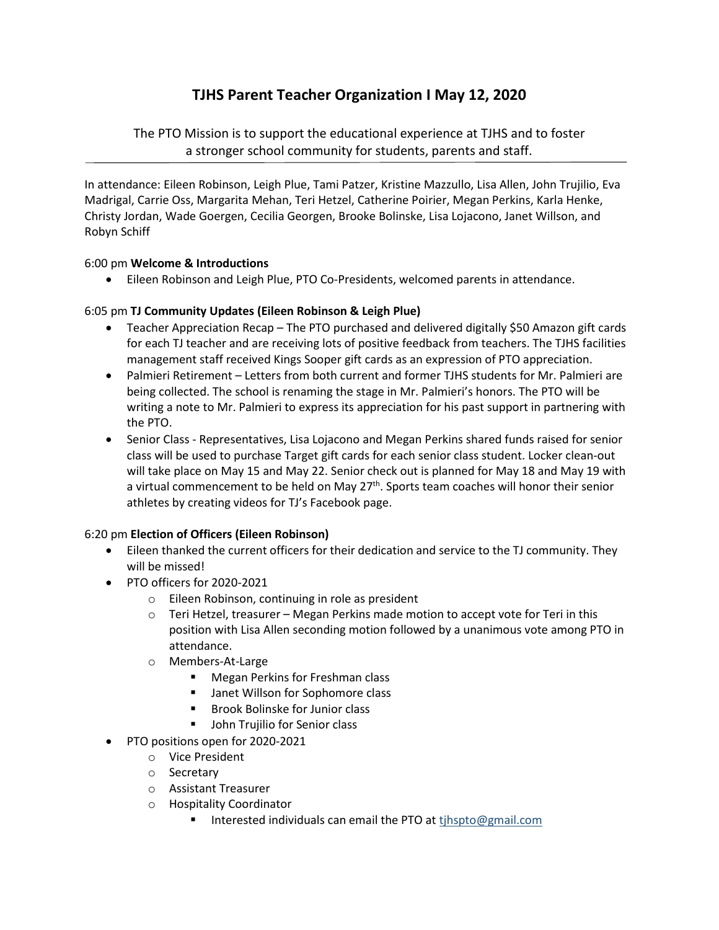# **TJHS Parent Teacher Organization I May 12, 2020**

The PTO Mission is to support the educational experience at TJHS and to foster a stronger school community for students, parents and staff.

In attendance: Eileen Robinson, Leigh Plue, Tami Patzer, Kristine Mazzullo, Lisa Allen, John Trujilio, Eva Madrigal, Carrie Oss, Margarita Mehan, Teri Hetzel, Catherine Poirier, Megan Perkins, Karla Henke, Christy Jordan, Wade Goergen, Cecilia Georgen, Brooke Bolinske, Lisa Lojacono, Janet Willson, and Robyn Schiff

## 6:00 pm **Welcome & Introductions**

• Eileen Robinson and Leigh Plue, PTO Co-Presidents, welcomed parents in attendance.

## 6:05 pm **TJ Community Updates (Eileen Robinson & Leigh Plue)**

- Teacher Appreciation Recap The PTO purchased and delivered digitally \$50 Amazon gift cards for each TJ teacher and are receiving lots of positive feedback from teachers. The TJHS facilities management staff received Kings Sooper gift cards as an expression of PTO appreciation.
- Palmieri Retirement Letters from both current and former TJHS students for Mr. Palmieri are being collected. The school is renaming the stage in Mr. Palmieri's honors. The PTO will be writing a note to Mr. Palmieri to express its appreciation for his past support in partnering with the PTO.
- Senior Class Representatives, Lisa Lojacono and Megan Perkins shared funds raised for senior class will be used to purchase Target gift cards for each senior class student. Locker clean-out will take place on May 15 and May 22. Senior check out is planned for May 18 and May 19 with a virtual commencement to be held on May 27<sup>th</sup>. Sports team coaches will honor their senior athletes by creating videos for TJ's Facebook page.

## 6:20 pm **Election of Officers (Eileen Robinson)**

- Eileen thanked the current officers for their dedication and service to the TJ community. They will be missed!
- PTO officers for 2020-2021
	- o Eileen Robinson, continuing in role as president
	- $\circ$  Teri Hetzel, treasurer Megan Perkins made motion to accept vote for Teri in this position with Lisa Allen seconding motion followed by a unanimous vote among PTO in attendance.
	- o Members-At-Large
		- Megan Perkins for Freshman class
		- Janet Willson for Sophomore class
		- Brook Bolinske for Junior class
		- John Trujilio for Senior class
- PTO positions open for 2020-2021
	- o Vice President
	- o Secretary
	- o Assistant Treasurer
	- o Hospitality Coordinator
		- Interested individuals can email the PTO at tihspto@gmail.com